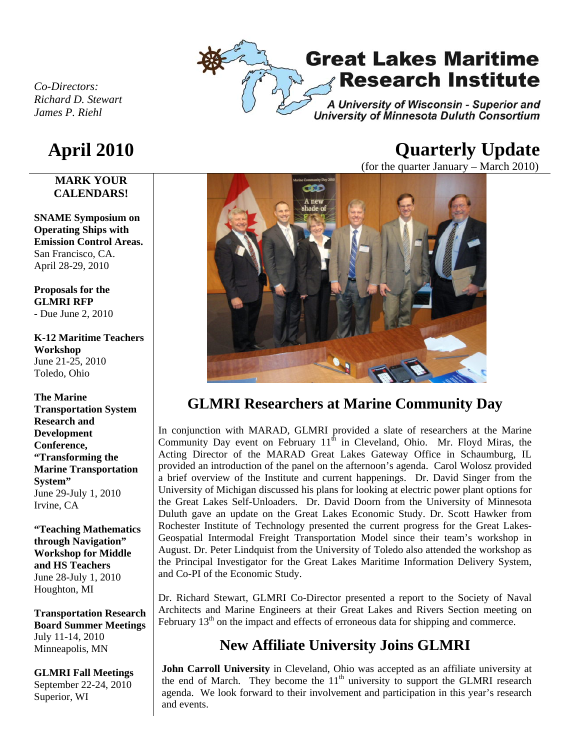

# **Great Lakes Maritime Research Institute**

A University of Wisconsin - Superior and **University of Minnesota Duluth Consortium** 

*Co-Directors: Richard D. Stewart James P. Riehl* 

#### **MARK YOUR CALENDARS!**

**SNAME Symposium on Operating Ships with Emission Control Areas.**  San Francisco, CA. April 28-29, 2010

**Proposals for the GLMRI RFP -** Due June 2, 2010

**K-12 Maritime Teachers Workshop**  June 21-25, 2010 Toledo, Ohio

**The Marine Transportation System Research and Development Conference, "Transforming the Marine Transportation System"**  June 29-July 1, 2010 Irvine, CA

**"Teaching Mathematics through Navigation" Workshop for Middle and HS Teachers**  June 28-July 1, 2010 Houghton, MI

**Transportation Research Board Summer Meetings**  July 11-14, 2010 Minneapolis, MN

**GLMRI Fall Meetings**  September 22-24, 2010 Superior, WI

# **April 2010 Quarterly Update**

(for the quarter January – March 2010)



## **GLMRI Researchers at Marine Community Day**

In conjunction with MARAD, GLMRI provided a slate of researchers at the Marine Community Day event on February  $11<sup>th</sup>$  in Cleveland, Ohio. Mr. Floyd Miras, the Acting Director of the MARAD Great Lakes Gateway Office in Schaumburg, IL provided an introduction of the panel on the afternoon's agenda. Carol Wolosz provided a brief overview of the Institute and current happenings. Dr. David Singer from the University of Michigan discussed his plans for looking at electric power plant options for the Great Lakes Self-Unloaders. Dr. David Doorn from the University of Minnesota Duluth gave an update on the Great Lakes Economic Study. Dr. Scott Hawker from Rochester Institute of Technology presented the current progress for the Great Lakes-Geospatial Intermodal Freight Transportation Model since their team's workshop in August. Dr. Peter Lindquist from the University of Toledo also attended the workshop as the Principal Investigator for the Great Lakes Maritime Information Delivery System, and Co-PI of the Economic Study.

Dr. Richard Stewart, GLMRI Co-Director presented a report to the Society of Naval Architects and Marine Engineers at their Great Lakes and Rivers Section meeting on February  $13<sup>th</sup>$  on the impact and effects of erroneous data for shipping and commerce.

# **New Affiliate University Joins GLMRI**

**John Carroll University** in Cleveland, Ohio was accepted as an affiliate university at the end of March. They become the  $11<sup>th</sup>$  university to support the GLMRI research agenda. We look forward to their involvement and participation in this year's research and events.